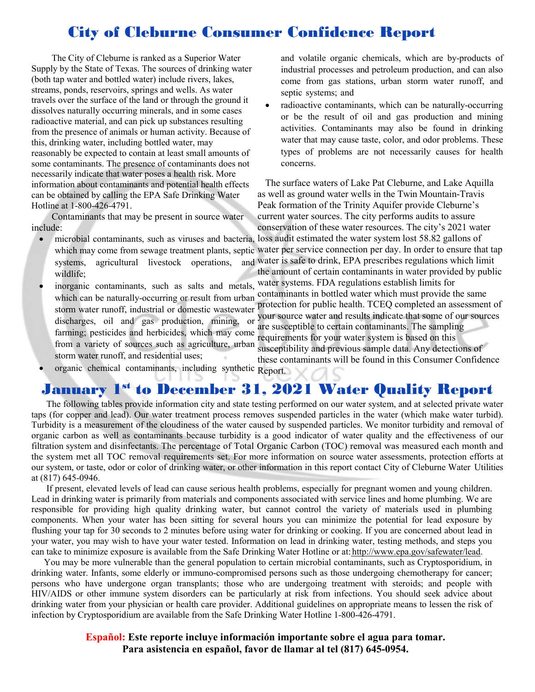# City of Cleburne Consumer Confidence Report

The City of Cleburne is ranked as a Superior Water Supply by the State of Texas. The sources of drinking water (both tap water and bottled water) include rivers, lakes, streams, ponds, reservoirs, springs and wells. As water travels over the surface of the land or through the ground it dissolves naturally occurring minerals, and in some cases radioactive material, and can pick up substances resulting from the presence of animals or human activity. Because of this, drinking water, including bottled water, may reasonably be expected to contain at least small amounts of some contaminants. The presence of contaminants does not necessarily indicate that water poses a health risk. More information about contaminants and potential health effects can be obtained by calling the EPA Safe Drinking Water Hotline at 1-800-426-4791.

Contaminants that may be present in source water include:

- microbial contaminants, such as viruses and bacteria, systems, agricultural livestock operations, wildlife;
- inorganic contaminants, such as salts and metals, which can be naturally-occurring or result from urban storm water runoff, industrial or domestic wastewater discharges, oil and gas production, mining, or farming; pesticides and herbicides, which may come from a variety of sources such as agriculture, urban storm water runoff, and residential uses;
- and volatile organic chemicals, which are by-products of industrial processes and petroleum production, and can also come from gas stations, urban storm water runoff, and septic systems; and
- radioactive contaminants, which can be naturally-occurring or be the result of oil and gas production and mining activities. Contaminants may also be found in drinking water that may cause taste, color, and odor problems. These types of problems are not necessarily causes for health concerns.

The surface waters of Lake Pat Cleburne, and Lake Aquilla as well as ground water wells in the Twin Mountain-Travis Peak formation of the Trinity Aquifer provide Cleburne's current water sources. The city performs audits to assure conservation of these water resources. The city's 2021 water

which may come from sewage treatment plants, septic water per service connection per day. In order to ensure that tap loss audit estimated the water system lost 58.82 gallons of and water is safe to drink, EPA prescribes regulations which limit the amount of certain contaminants in water provided by public

water systems. FDA regulations establish limits for contaminants in bottled water which must provide the same protection for public health. TCEQ completed an assessment of your source water and results indicate that some of our sources are susceptible to certain contaminants. The sampling requirements for your water system is based on this susceptibility and previous sample data. Any detections of these contaminants will be found in this Consumer Confidence

• organic chemical contaminants, including synthetic Report.

## January 1st to December 31, 2021 Water Quality Report

The following tables provide information city and state testing performed on our water system, and at selected private water taps (for copper and lead). Our water treatment process removes suspended particles in the water (which make water turbid). Turbidity is a measurement of the cloudiness of the water caused by suspended particles. We monitor turbidity and removal of organic carbon as well as contaminants because turbidity is a good indicator of water quality and the effectiveness of our filtration system and disinfectants. The percentage of Total Organic Carbon (TOC) removal was measured each month and the system met all TOC removal requirements set. For more information on source water assessments, protection efforts at our system, or taste, odor or color of drinking water, or other information in this report contact City of Cleburne Water Utilities at (817) 645-0946.

If present, elevated levels of lead can cause serious health problems, especially for pregnant women and young children. Lead in drinking water is primarily from materials and components associated with service lines and home plumbing. We are responsible for providing high quality drinking water, but cannot control the variety of materials used in plumbing components. When your water has been sitting for several hours you can minimize the potential for lead exposure by flushing your tap for 30 seconds to 2 minutes before using water for drinking or cooking. If you are concerned about lead in your water, you may wish to have your water tested. Information on lead in drinking water, testing methods, and steps you can take to minimize exposure is available from the Safe Drinking Water Hotline or at: [http://www.epa.gov/safewater/lead.](http://www.epa.gov/safewater/lead)

You may be more vulnerable than the general population to certain microbial contaminants, such as Cryptosporidium, in drinking water. Infants, some elderly or immuno-compromised persons such as those undergoing chemotherapy for cancer; persons who have undergone organ transplants; those who are undergoing treatment with steroids; and people with HIV/AIDS or other immune system disorders can be particularly at risk from infections. You should seek advice about drinking water from your physician or health care provider. Additional guidelines on appropriate means to lessen the risk of infection by Cryptosporidium are available from the Safe Drinking Water Hotline 1-800-426-4791.

> **Español: Este reporte incluye información importante sobre el agua para tomar. Para asistencia en español, favor de llamar al tel (817) 645-0954.**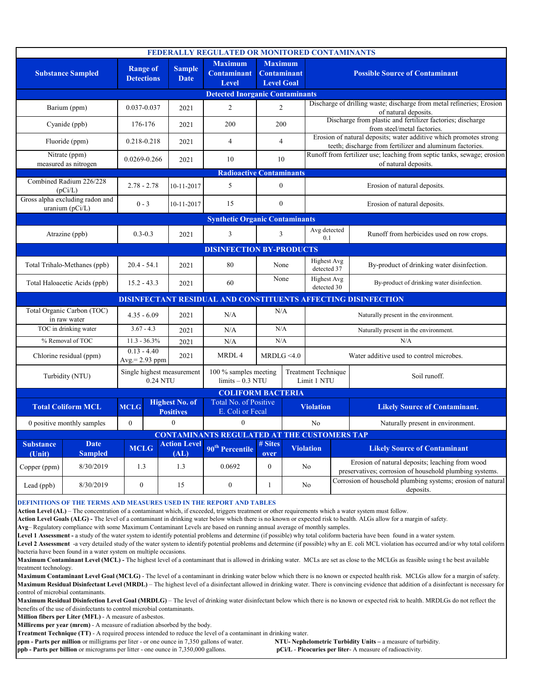| FEDERALLY REGULATED OR MONITORED CONTAMINANTS                        |                               |                                        |  |                                                                                        |                                                      |                                                           |                                                                                                 |                                                                                               |                                                                                                            |                                                                                           |  |
|----------------------------------------------------------------------|-------------------------------|----------------------------------------|--|----------------------------------------------------------------------------------------|------------------------------------------------------|-----------------------------------------------------------|-------------------------------------------------------------------------------------------------|-----------------------------------------------------------------------------------------------|------------------------------------------------------------------------------------------------------------|-------------------------------------------------------------------------------------------|--|
| <b>Substance Sampled</b>                                             |                               | <b>Range of</b><br><b>Detections</b>   |  | <b>Sample</b><br><b>Date</b>                                                           | <b>Maximum</b><br><b>Contaminant</b><br><b>Level</b> | <b>Maximum</b><br><b>Contaminant</b><br><b>Level Goal</b> |                                                                                                 | <b>Possible Source of Contaminant</b>                                                         |                                                                                                            |                                                                                           |  |
| <b>Detected Inorganic Contaminants</b>                               |                               |                                        |  |                                                                                        |                                                      |                                                           |                                                                                                 |                                                                                               |                                                                                                            |                                                                                           |  |
| Barium (ppm)                                                         |                               | 0.037-0.037                            |  | 2021                                                                                   | $\mathbf{2}$<br>$\overline{2}$                       |                                                           |                                                                                                 | Discharge of drilling waste; discharge from metal refineries; Erosion<br>of natural deposits. |                                                                                                            |                                                                                           |  |
| Cyanide (ppb)                                                        |                               | 176-176                                |  | 2021                                                                                   | 200                                                  | 200                                                       |                                                                                                 |                                                                                               |                                                                                                            | Discharge from plastic and fertilizer factories; discharge<br>from steel/metal factories. |  |
| Fluoride (ppm)                                                       |                               | 0.218-0.218                            |  | 2021                                                                                   | $\overline{4}$                                       | $\overline{4}$                                            |                                                                                                 | teeth; discharge from fertilizer and aluminum factories.                                      |                                                                                                            | Erosion of natural deposits; water additive which promotes strong                         |  |
| Nitrate (ppm)<br>measured as nitrogen                                |                               | 0.0269-0.266                           |  | 2021                                                                                   | 10<br>10                                             |                                                           | Runoff from fertilizer use; leaching from septic tanks, sewage; erosion<br>of natural deposits. |                                                                                               |                                                                                                            |                                                                                           |  |
| <b>Radioactive Contaminants</b>                                      |                               |                                        |  |                                                                                        |                                                      |                                                           |                                                                                                 |                                                                                               |                                                                                                            |                                                                                           |  |
| Combined Radium 226/228<br>(pCi/L)                                   |                               | $2.78 - 2.78$                          |  | 10-11-2017                                                                             | 5                                                    | $\boldsymbol{0}$                                          |                                                                                                 | Erosion of natural deposits.                                                                  |                                                                                                            |                                                                                           |  |
| Gross alpha excluding radon and<br>uranium $(pCi/L)$                 |                               | $0 - 3$                                |  | 10-11-2017                                                                             | 15                                                   | $\mathbf{0}$                                              |                                                                                                 | Erosion of natural deposits.                                                                  |                                                                                                            |                                                                                           |  |
| <b>Synthetic Organic Contaminants</b>                                |                               |                                        |  |                                                                                        |                                                      |                                                           |                                                                                                 |                                                                                               |                                                                                                            |                                                                                           |  |
| Atrazine (ppb)                                                       |                               | $0.3 - 0.3$                            |  | 2021                                                                                   | 3                                                    | 3                                                         |                                                                                                 | Avg detected<br>0.1                                                                           |                                                                                                            | Runoff from herbicides used on row crops.                                                 |  |
| <b>DISINFECTION BY-PRODUCTS</b>                                      |                               |                                        |  |                                                                                        |                                                      |                                                           |                                                                                                 |                                                                                               |                                                                                                            |                                                                                           |  |
| Total Trihalo-Methanes (ppb)                                         |                               | $20.4 - 54.1$                          |  | 2021                                                                                   | 80                                                   | None                                                      |                                                                                                 | <b>Highest Avg</b><br>detected 37                                                             |                                                                                                            | By-product of drinking water disinfection.                                                |  |
| Total Haloacetic Acids (ppb)                                         |                               | $15.2 - 43.3$                          |  | 2021                                                                                   | 60                                                   | None                                                      |                                                                                                 | <b>Highest Avg</b><br>detected 30                                                             |                                                                                                            | By-product of drinking water disinfection.                                                |  |
| <b>DISINFECTANT RESIDUAL AND CONSTITUENTS AFFECTING DISINFECTION</b> |                               |                                        |  |                                                                                        |                                                      |                                                           |                                                                                                 |                                                                                               |                                                                                                            |                                                                                           |  |
| Total Organic Carbon (TOC)<br>in raw water                           |                               | $4.35 - 6.09$                          |  | 2021                                                                                   | N/A                                                  | N/A                                                       |                                                                                                 | Naturally present in the environment.                                                         |                                                                                                            |                                                                                           |  |
| TOC in drinking water                                                |                               | $3.67 - 4.3$                           |  | 2021                                                                                   | N/A                                                  | N/A                                                       |                                                                                                 | Naturally present in the environment.                                                         |                                                                                                            |                                                                                           |  |
| % Removal of TOC                                                     |                               | $11.3 - 36.3%$                         |  | 2021                                                                                   | N/A                                                  | N/A                                                       |                                                                                                 |                                                                                               | N/A                                                                                                        |                                                                                           |  |
| Chlorine residual (ppm)                                              |                               | $0.13 - 4.40$<br>$Avg = 2.93$ ppm      |  | 2021                                                                                   | MRDL <sub>4</sub>                                    | MRDLG <4.0                                                |                                                                                                 |                                                                                               |                                                                                                            | Water additive used to control microbes.                                                  |  |
| Turbidity (NTU)                                                      |                               | Single highest measurement<br>0.24 NTU |  |                                                                                        | 100 % samples meeting<br>$limits - 0.3 NTU$          |                                                           |                                                                                                 | <b>Treatment Technique</b><br>Limit 1 NTU                                                     |                                                                                                            | Soil runoff.                                                                              |  |
| <b>COLIFORM BACTERIA</b>                                             |                               |                                        |  |                                                                                        |                                                      |                                                           |                                                                                                 |                                                                                               |                                                                                                            |                                                                                           |  |
| <b>Total Coliform MCL</b>                                            |                               | <b>MCLG</b>                            |  | <b>Highest No. of</b><br>Total No. of Positive<br>E. Coli or Fecal<br><b>Positives</b> |                                                      |                                                           |                                                                                                 | <b>Violation</b>                                                                              |                                                                                                            | <b>Likely Source of Contaminant.</b>                                                      |  |
| 0 positive monthly samples                                           |                               | $\theta$                               |  | $\theta$                                                                               | $\Omega$                                             |                                                           |                                                                                                 | No                                                                                            |                                                                                                            | Naturally present in environment.                                                         |  |
| <b>CONTAMINANTS REGULATED AT THE CUSTOMERS TAP</b>                   |                               |                                        |  |                                                                                        |                                                      |                                                           |                                                                                                 |                                                                                               |                                                                                                            |                                                                                           |  |
| <b>Substance</b><br>(Unit)                                           | <b>Date</b><br><b>Sampled</b> | <b>MCLG</b>                            |  | <b>Action Level</b><br>(AL)                                                            | 90 <sup>th</sup> Percentile                          | # Sites<br>over                                           |                                                                                                 | <b>Violation</b><br><b>Likely Source of Contaminant</b>                                       |                                                                                                            |                                                                                           |  |
| Copper (ppm)                                                         | 8/30/2019                     | 1.3                                    |  | 1.3                                                                                    | 0.0692                                               | $\mathbf{0}$                                              |                                                                                                 | No                                                                                            | Erosion of natural deposits; leaching from wood<br>preservatives; corrosion of household plumbing systems. |                                                                                           |  |
| Lead (ppb)                                                           | 8/30/2019                     | $\mathbf{0}$                           |  | 15                                                                                     | $\mathbf{0}$                                         | $\mathbf{1}$                                              |                                                                                                 | No                                                                                            |                                                                                                            | Corrosion of household plumbing systems; erosion of natural<br>deposits.                  |  |

**DEFINITIONS OF THE TERMS AND MEASURES USED IN THE REPORT AND TABLES**

**Action Level (AL)** – The concentration of a contaminant which, if exceeded, triggers treatment or other requirements which a water system must follow.

**Action Level Goals (ALG) -** The level of a contaminant in drinking water below which there is no known or expected risk to health. ALGs allow for a margin of safety.

**Avg**– Regulatory compliance with some Maximum Contaminant Levels are based on running annual average of monthly samples.

Level 1 Assessment - a study of the water system to identify potential problems and determine (if possible) why total coliform bacteria have been found in a water system.

**Level 2 Assessment** -a very detailed study of the water system to identify potential problems and determine (if possible) why an E. coli MCL violation has occurred and/or why total coliform bacteria have been found in a water system on multiple occasions.

**Maximum Contaminant Level (MCL) -** The highest level of a contaminant that is allowed in drinking water. MCLs are set as close to the MCLGs as feasible using t he best available treatment technology.

**Maximum Contaminant Level Goal (MCLG)** - The level of a contaminant in drinking water below which there is no known or expected health risk. MCLGs allow for a margin of safety. Maximum Residual Disinfectant Level (MRDL) – The highest level of a disinfectant allowed in drinking water. There is convincing evidence that addition of a disinfectant is necessary for control of microbial contaminants.

**Maximum Residual Disinfection Level Goal (MRDLG)** – The level of drinking water disinfectant below which there is no known or expected risk to health. MRDLGs do not reflect the benefits of the use of disinfectants to control microbial contaminants.

**Million fibers per Liter (MFL)** - A measure of asbestos.

**Millirems per year (mrem)** - A measure of radiation absorbed by the body.

**Treatment Technique (TT)** - A required process intended to reduce the level of a contaminant in drinking water.

**ppm - Parts per million** or milligrams per liter - or one ounce in 7,350 gallons of water. **NTU- Nephelometric Turbidity Units –** a measure of turbidity. **ppb - Parts per billion** or micrograms per litter - one ounce in 7,350,000 gallons. **pCi/L** - **Picocuries per liter**- A measure of radioactivity.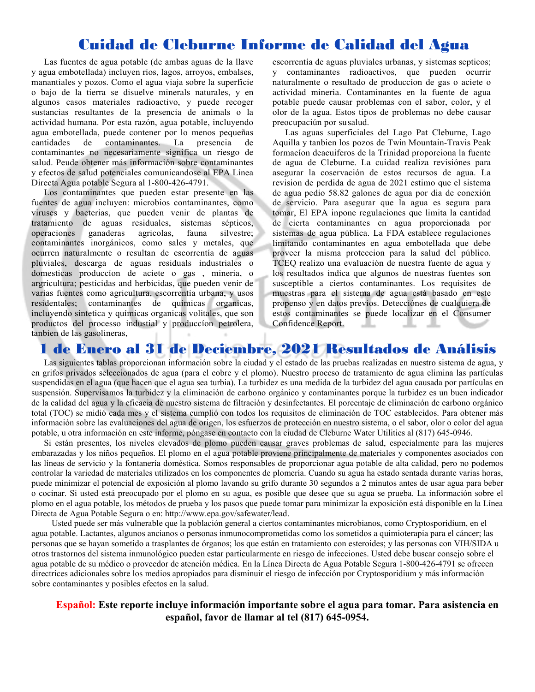### Cuidad de Cleburne Informe de Calidad del Agua

Las fuentes de agua potable (de ambas aguas de la llave y agua embotellada) incluyen ríos, lagos, arroyos, embalses, manantiales y pozos. Como el agua viaja sobre la superficie o bajo de la tierra se disuelve minerals naturales, y en algunos casos materiales radioactivo, y puede recoger sustancias resultantes de la presencia de animals o la actividad humana. Por esta razón, agua potable, incluyendo agua embotellada, puede contener por lo menos pequeñas cantidades de contaminantes. La presencia de contaminantes no necesariamente significa un riesgo de salud. Peude obtener más información sobre contaminantes y efectos de salud potenciales comunicandose al EPA Línea Directa Agua potable Segura al 1-800-426-4791.

Los contaminantes que pueden estar presente en las fuentes de agua incluyen: microbios contaminantes, como viruses y bacterias, que pueden venir de plantas de tratamiento de aguas residuales, sistemas sépticos, operaciones ganaderas agricolas, fauna silvestre; contaminantes inorgánicos, como sales y metales, que ocurren naturalmente o resultan de escorrentía de aguas pluviales, descarga de aguas residuals industriales o domesticas produccíon de aciete o gas , mineria, o argricultura; pesticidas and herbicidas, que pueden venir de varias fuentes como agricultura, escorrentía urbana, y usos residentales; contaminantes de químicas organicas, incluyendo sintetica y químicas organicas volitales, que son productos del processo industial y produccíon petrolera, tanbien de las gasolineras,

escorrentía de aguas pluviales urbanas, y sistemas septicos; y contaminantes radioactivos, que pueden ocurrir naturalmente o resultado de produccíon de gas o aciete o actividad mineria. Contaminantes en la fuente de agua potable puede causar problemas con el sabor, color, y el olor de la agua. Estos tipos de problemas no debe causar preocupaciún por susalud.

Las aguas superficiales del Lago Pat Cleburne, Lago Aquilla y tanbien los pozos de Twin Mountain-Travis Peak formacíon deacuiferos de la Trinidad proporciona la fuente de agua de Cleburne. La cuidad realiza revisiónes para asegurar la coservación de estos recursos de agua. La revision de perdida de agua de 2021 estimo que el sistema de agua pedio 58.82 galones de agua por dia de conexión de servicio. Para asegurar que la agua es segura para tomar, El EPA inpone regulaciones que limita la cantidad de cierta contaminantes en agua proporcionada por sistemas de agua pública. La FDA establece regulaciones limitando contaminantes en agua embotellada que debe proveer la misma proteccion para la salud del público. TCEQ realizo una evaluación de nuestra fuente de agua y los resultados indica que algunos de nuestras fuentes son susceptible a ciertos contaminantes. Los requisites de muestras para el sistema de agua está basado en este propenso y en datos previos. Detecciónes de cualquiera de estos contaminantes se puede localizar en el Consumer Confidence Report.

#### 1 de Enero al 31 de Deciembre, 2021 Resultados de Análisis

Las siguientes tablas proporcionan información sobre la ciudad y el estado de las pruebas realizadas en nuestro sistema de agua, y en grifos privados seleccionados de agua (para el cobre y el plomo). Nuestro proceso de tratamiento de agua elimina las partículas suspendidas en el agua (que hacen que el agua sea turbia). La turbidez es una medida de la turbidez del agua causada por partículas en suspensión. Supervisamos la turbidez y la eliminación de carbono orgánico y contaminantes porque la turbidez es un buen indicador de la calidad del agua y la eficacia de nuestro sistema de filtración y desinfectantes. El porcentaje de eliminación de carbono orgánico total (TOC) se midió cada mes y el sistema cumplió con todos los requisitos de eliminación de TOC establecidos. Para obtener más información sobre las evaluaciones del agua de origen, los esfuerzos de protección en nuestro sistema, o el sabor, olor o color del agua potable, u otra información en este informe, póngase en contacto con la ciudad de Cleburne Water Utilities al (817) 645-0946.

Si están presentes, los niveles elevados de plomo pueden causar graves problemas de salud, especialmente para las mujeres embarazadas y los niños pequeños. El plomo en el agua potable proviene principalmente de materiales y componentes asociados con las líneas de servicio y la fontanería doméstica. Somos responsables de proporcionar agua potable de alta calidad, pero no podemos controlar la variedad de materiales utilizados en los componentes de plomería. Cuando su agua ha estado sentada durante varias horas, puede minimizar el potencial de exposición al plomo lavando su grifo durante 30 segundos a 2 minutos antes de usar agua para beber o cocinar. Si usted está preocupado por el plomo en su agua, es posible que desee que su agua se prueba. La información sobre el plomo en el agua potable, los métodos de prueba y los pasos que puede tomar para minimizar la exposición está disponible en la Línea Directa de Agua Potable Segura o en: http://www.epa.gov/safewater/lead.

Usted puede ser más vulnerable que la población general a ciertos contaminantes microbianos, como Cryptosporidium, en el agua potable. Lactantes, algunos ancianos o personas inmunocomprometidas como los sometidos a quimioterapia para el cáncer; las personas que se hayan sometido a trasplantes de órganos; los que están en tratamiento con esteroides; y las personas con VIH/SIDA u otros trastornos del sistema inmunológico pueden estar particularmente en riesgo de infecciones. Usted debe buscar consejo sobre el agua potable de su médico o proveedor de atención médica. En la Línea Directa de Agua Potable Segura 1-800-426-4791 se ofrecen directrices adicionales sobre los medios apropiados para disminuir el riesgo de infección por Cryptosporidium y más información sobre contaminantes y posibles efectos en la salud.

#### **Español: Este reporte incluye información importante sobre el agua para tomar. Para asistencia en español, favor de llamar al tel (817) 645-0954.**